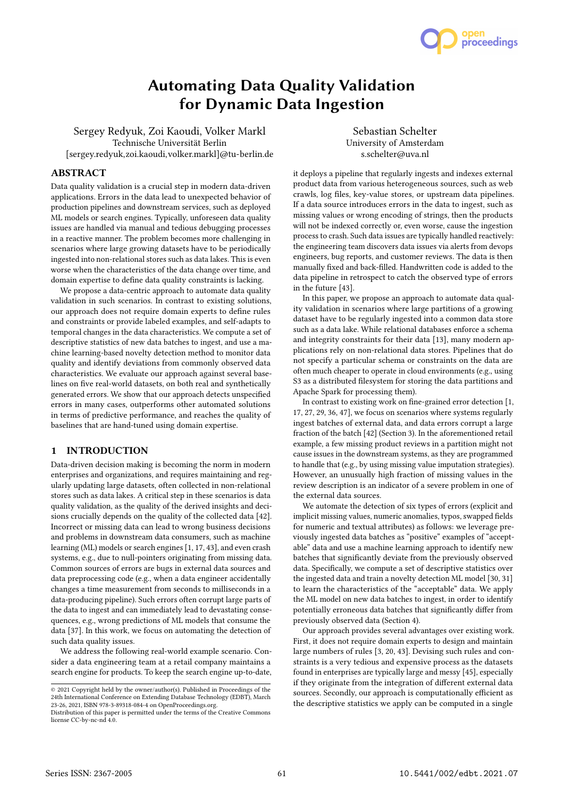# Automating Data Quality Validation for Dynamic Data Ingestion

Sergey Redyuk, Zoi Kaoudi, Volker Markl Technische Universität Berlin [sergey.redyuk,zoi.kaoudi,volker.markl]@tu-berlin.de

ABSTRACT

Data quality validation is a crucial step in modern data-driven applications. Errors in the data lead to unexpected behavior of production pipelines and downstream services, such as deployed ML models or search engines. Typically, unforeseen data quality issues are handled via manual and tedious debugging processes in a reactive manner. The problem becomes more challenging in scenarios where large growing datasets have to be periodically ingested into non-relational stores such as data lakes. This is even worse when the characteristics of the data change over time, and domain expertise to define data quality constraints is lacking.

We propose a data-centric approach to automate data quality validation in such scenarios. In contrast to existing solutions, our approach does not require domain experts to define rules and constraints or provide labeled examples, and self-adapts to temporal changes in the data characteristics. We compute a set of descriptive statistics of new data batches to ingest, and use a machine learning-based novelty detection method to monitor data quality and identify deviations from commonly observed data characteristics. We evaluate our approach against several baselines on five real-world datasets, on both real and synthetically generated errors. We show that our approach detects unspecified errors in many cases, outperforms other automated solutions in terms of predictive performance, and reaches the quality of baselines that are hand-tuned using domain expertise.

## 1 INTRODUCTION

Data-driven decision making is becoming the norm in modern enterprises and organizations, and requires maintaining and regularly updating large datasets, often collected in non-relational stores such as data lakes. A critical step in these scenarios is data quality validation, as the quality of the derived insights and decisions crucially depends on the quality of the collected data [42]. Incorrect or missing data can lead to wrong business decisions and problems in downstream data consumers, such as machine learning (ML) models or search engines [1, 17, 43], and even crash systems, e.g., due to null-pointers originating from missing data. Common sources of errors are bugs in external data sources and data preprocessing code (e.g., when a data engineer accidentally changes a time measurement from seconds to milliseconds in a data-producing pipeline). Such errors often corrupt large parts of the data to ingest and can immediately lead to devastating consequences, e.g., wrong predictions of ML models that consume the data [37]. In this work, we focus on automating the detection of such data quality issues.

We address the following real-world example scenario. Consider a data engineering team at a retail company maintains a search engine for products. To keep the search engine up-to-date,

Sebastian Schelter University of Amsterdam s.schelter@uva.nl

it deploys a pipeline that regularly ingests and indexes external product data from various heterogeneous sources, such as web crawls, log files, key-value stores, or upstream data pipelines. If a data source introduces errors in the data to ingest, such as missing values or wrong encoding of strings, then the products will not be indexed correctly or, even worse, cause the ingestion process to crash. Such data issues are typically handled reactively: the engineering team discovers data issues via alerts from devops engineers, bug reports, and customer reviews. The data is then manually fixed and back-filled. Handwritten code is added to the data pipeline in retrospect to catch the observed type of errors in the future [43].

In this paper, we propose an approach to automate data quality validation in scenarios where large partitions of a growing dataset have to be regularly ingested into a common data store such as a data lake. While relational databases enforce a schema and integrity constraints for their data [13], many modern applications rely on non-relational data stores. Pipelines that do not specify a particular schema or constraints on the data are often much cheaper to operate in cloud environments (e.g., using S3 as a distributed filesystem for storing the data partitions and Apache Spark for processing them).

In contrast to existing work on fine-grained error detection [1, 17, 27, 29, 36, 47], we focus on scenarios where systems regularly ingest batches of external data, and data errors corrupt a large fraction of the batch [42] (Section 3). In the aforementioned retail example, a few missing product reviews in a partition might not cause issues in the downstream systems, as they are programmed to handle that (e.g., by using missing value imputation strategies). However, an unusually high fraction of missing values in the review description is an indicator of a severe problem in one of the external data sources.

We automate the detection of six types of errors (explicit and implicit missing values, numeric anomalies, typos, swapped fields for numeric and textual attributes) as follows: we leverage previously ingested data batches as "positive" examples of "acceptable" data and use a machine learning approach to identify new batches that significantly deviate from the previously observed data. Specifically, we compute a set of descriptive statistics over the ingested data and train a novelty detection ML model [30, 31] to learn the characteristics of the "acceptable" data. We apply the ML model on new data batches to ingest, in order to identify potentially erroneous data batches that significantly differ from previously observed data (Section 4).

Our approach provides several advantages over existing work. First, it does not require domain experts to design and maintain large numbers of rules [3, 20, 43]. Devising such rules and constraints is a very tedious and expensive process as the datasets found in enterprises are typically large and messy [45], especially if they originate from the integration of different external data sources. Secondly, our approach is computationally efficient as the descriptive statistics we apply can be computed in a single



<sup>©</sup> 2021 Copyright held by the owner/author(s). Published in Proceedings of the 24th International Conference on Extending Database Technology (EDBT), March 23-26, 2021, ISBN 978-3-89318-084-4 on OpenProceedings.org.

Distribution of this paper is permitted under the terms of the Creative Commons license CC-by-nc-nd 4.0.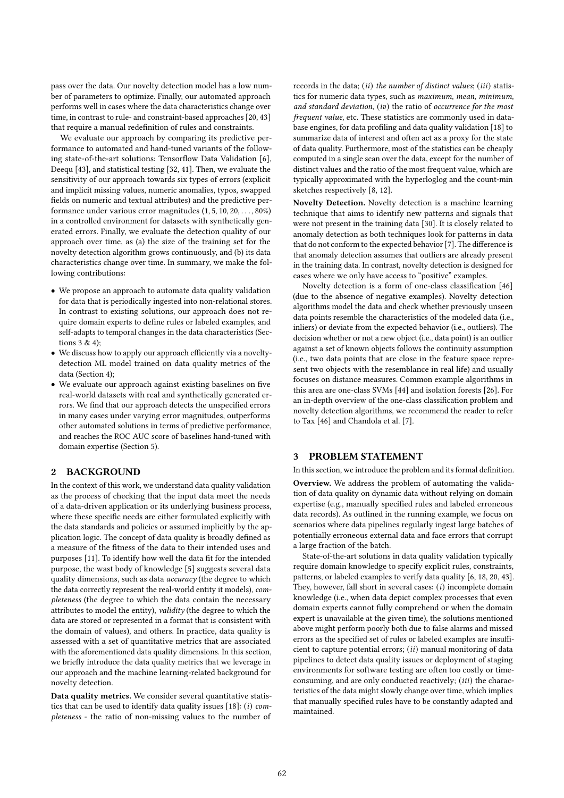pass over the data. Our novelty detection model has a low number of parameters to optimize. Finally, our automated approach performs well in cases where the data characteristics change over time, in contrast to rule- and constraint-based approaches [20, 43] that require a manual redefinition of rules and constraints.

We evaluate our approach by comparing its predictive performance to automated and hand-tuned variants of the following state-of-the-art solutions: Tensorflow Data Validation [6], Deequ [43], and statistical testing [32, 41]. Then, we evaluate the sensitivity of our approach towards six types of errors (explicit and implicit missing values, numeric anomalies, typos, swapped fields on numeric and textual attributes) and the predictive performance under various error magnitudes (1, 5, 10, 20, . . . , 80%) in a controlled environment for datasets with synthetically generated errors. Finally, we evaluate the detection quality of our approach over time, as (a) the size of the training set for the novelty detection algorithm grows continuously, and (b) its data characteristics change over time. In summary, we make the following contributions:

- We propose an approach to automate data quality validation for data that is periodically ingested into non-relational stores. In contrast to existing solutions, our approach does not require domain experts to define rules or labeled examples, and self-adapts to temporal changes in the data characteristics (Sections 3 & 4);
- We discuss how to apply our approach efficiently via a noveltydetection ML model trained on data quality metrics of the data (Section 4);
- We evaluate our approach against existing baselines on five real-world datasets with real and synthetically generated errors. We find that our approach detects the unspecified errors in many cases under varying error magnitudes, outperforms other automated solutions in terms of predictive performance, and reaches the ROC AUC score of baselines hand-tuned with domain expertise (Section 5).

## 2 BACKGROUND

In the context of this work, we understand data quality validation as the process of checking that the input data meet the needs of a data-driven application or its underlying business process, where these specific needs are either formulated explicitly with the data standards and policies or assumed implicitly by the application logic. The concept of data quality is broadly defined as a measure of the fitness of the data to their intended uses and purposes [11]. To identify how well the data fit for the intended purpose, the wast body of knowledge [5] suggests several data quality dimensions, such as data *accuracy* (the degree to which the data correctly represent the real-world entity it models), completeness (the degree to which the data contain the necessary attributes to model the entity), validity (the degree to which the data are stored or represented in a format that is consistent with the domain of values), and others. In practice, data quality is assessed with a set of quantitative metrics that are associated with the aforementioned data quality dimensions. In this section, we briefly introduce the data quality metrics that we leverage in our approach and the machine learning-related background for novelty detection.

Data quality metrics. We consider several quantitative statistics that can be used to identify data quality issues [18]: (i) completeness - the ratio of non-missing values to the number of records in the data;  $(ii)$  the number of distinct values;  $(iii)$  statistics for numeric data types, such as maximum, mean, minimum, and standard deviation,  $(iv)$  the ratio of occurrence for the most frequent value, etc. These statistics are commonly used in database engines, for data profiling and data quality validation [18] to summarize data of interest and often act as a proxy for the state of data quality. Furthermore, most of the statistics can be cheaply computed in a single scan over the data, except for the number of distinct values and the ratio of the most frequent value, which are typically approximated with the hyperloglog and the count-min sketches respectively [8, 12].

Novelty Detection. Novelty detection is a machine learning technique that aims to identify new patterns and signals that were not present in the training data [30]. It is closely related to anomaly detection as both techniques look for patterns in data that do not conform to the expected behavior [7]. The difference is that anomaly detection assumes that outliers are already present in the training data. In contrast, novelty detection is designed for cases where we only have access to "positive" examples.

Novelty detection is a form of one-class classification [46] (due to the absence of negative examples). Novelty detection algorithms model the data and check whether previously unseen data points resemble the characteristics of the modeled data (i.e., inliers) or deviate from the expected behavior (i.e., outliers). The decision whether or not a new object (i.e., data point) is an outlier against a set of known objects follows the continuity assumption (i.e., two data points that are close in the feature space represent two objects with the resemblance in real life) and usually focuses on distance measures. Common example algorithms in this area are one-class SVMs [44] and isolation forests [26]. For an in-depth overview of the one-class classification problem and novelty detection algorithms, we recommend the reader to refer to Tax [46] and Chandola et al. [7].

## 3 PROBLEM STATEMENT

In this section, we introduce the problem and its formal definition.

Overview. We address the problem of automating the validation of data quality on dynamic data without relying on domain expertise (e.g., manually specified rules and labeled erroneous data records). As outlined in the running example, we focus on scenarios where data pipelines regularly ingest large batches of potentially erroneous external data and face errors that corrupt a large fraction of the batch.

State-of-the-art solutions in data quality validation typically require domain knowledge to specify explicit rules, constraints, patterns, or labeled examples to verify data quality [6, 18, 20, 43]. They, however, fall short in several cases:  $(i)$  incomplete domain knowledge (i.e., when data depict complex processes that even domain experts cannot fully comprehend or when the domain expert is unavailable at the given time), the solutions mentioned above might perform poorly both due to false alarms and missed errors as the specified set of rules or labeled examples are insufficient to capture potential errors;  $(ii)$  manual monitoring of data pipelines to detect data quality issues or deployment of staging environments for software testing are often too costly or timeconsuming, and are only conducted reactively;  $(iii)$  the characteristics of the data might slowly change over time, which implies that manually specified rules have to be constantly adapted and maintained.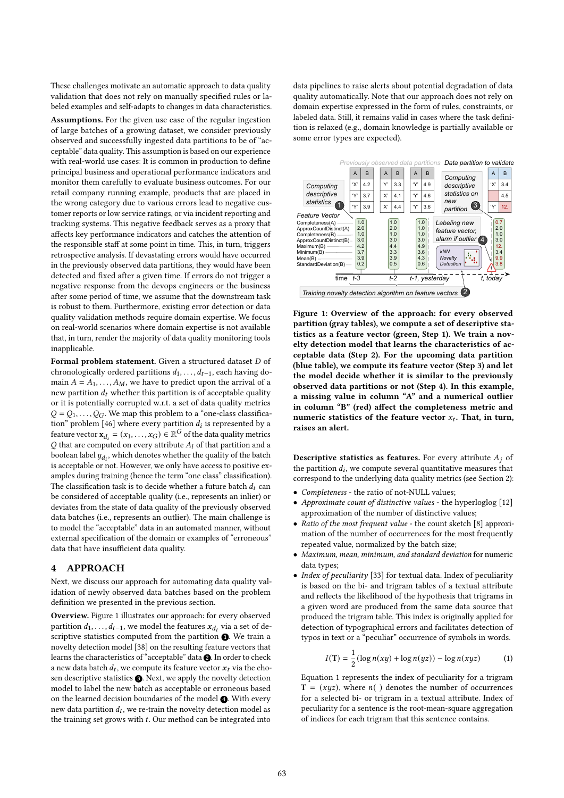These challenges motivate an automatic approach to data quality validation that does not rely on manually specified rules or labeled examples and self-adapts to changes in data characteristics.

Assumptions. For the given use case of the regular ingestion of large batches of a growing dataset, we consider previously observed and successfully ingested data partitions to be of "acceptable" data quality. This assumption is based on our experience with real-world use cases: It is common in production to define principal business and operational performance indicators and monitor them carefully to evaluate business outcomes. For our retail company running example, products that are placed in the wrong category due to various errors lead to negative customer reports or low service ratings, or via incident reporting and tracking systems. This negative feedback serves as a proxy that affects key performance indicators and catches the attention of the responsible staff at some point in time. This, in turn, triggers retrospective analysis. If devastating errors would have occurred in the previously observed data partitions, they would have been detected and fixed after a given time. If errors do not trigger a negative response from the devops engineers or the business after some period of time, we assume that the downstream task is robust to them. Furthermore, existing error detection or data quality validation methods require domain expertise. We focus on real-world scenarios where domain expertise is not available that, in turn, render the majority of data quality monitoring tools inapplicable.

Formal problem statement. Given a structured dataset  $D$  of chronologically ordered partitions  $d_1, \ldots, d_{t-1}$ , each having domain  $A = A_1, \ldots, A_M$ , we have to predict upon the arrival of a new partition  $d_t$  whether this partition is of acceptable quality or it is potentially corrupted w.r.t. a set of data quality metrics  $Q = Q_1, \ldots, Q_G$ . We map this problem to a "one-class classification" problem [46] where every partition  $d_i$  is represented by a feature vector  $\mathbf{x}_{d_i} = (x_1, \dots, x_G) \in \mathbb{R}^G$  of the data quality metrics  $Q$  that are computed on every attribute  $A_i$  of that partition and a boolean label  $y_{d_i}$ , which denotes whether the quality of the batch is acceptable or not. However, we only have access to positive examples during training (hence the term "one class" classification). The classification task is to decide whether a future batch  $d_t$  can be considered of acceptable quality (i.e., represents an inlier) or deviates from the state of data quality of the previously observed data batches (i.e., represents an outlier). The main challenge is to model the "acceptable" data in an automated manner, without external specification of the domain or examples of "erroneous" data that have insufficient data quality.

#### 4 APPROACH

Next, we discuss our approach for automating data quality validation of newly observed data batches based on the problem definition we presented in the previous section.

Overview. Figure 1 illustrates our approach: for every observed partition  $d_1, \ldots, d_{t-1}$ , we model the features  $x_{d_i}$  via a set of descriptive statistics computed from the partition  $\spadesuit$  . We train a novelty detection model [38] on the resulting feature vectors that learns the characteristics of "acceptable" data <sup>2</sup>. In order to check a new data batch  $d_t$ , we compute its feature vector  $x_t$  via the chosen descriptive statistics  $\bigcirc$ . Next, we apply the novelty detection model to label the new batch as acceptable or erroneous based on the learned decision boundaries of the model  $\bullet$ . With every new data partition  $d_t$ , we re-train the novelty detection model as the training set grows with  $t$ . Our method can be integrated into

data pipelines to raise alerts about potential degradation of data quality automatically. Note that our approach does not rely on domain expertise expressed in the form of rules, constraints, or labeled data. Still, it remains valid in cases where the task definition is relaxed (e.g., domain knowledge is partially available or some error types are expected).



Figure 1: Overview of the approach: for every observed partition (gray tables), we compute a set of descriptive statistics as a feature vector (green, Step 1). We train a novelty detection model that learns the characteristics of acceptable data (Step 2). For the upcoming data partition (blue table), we compute its feature vector (Step 3) and let the model decide whether it is similar to the previously observed data partitions or not (Step 4). In this example, a missing value in column "A" and a numerical outlier in column "B" (red) affect the completeness metric and numeric statistics of the feature vector  $x_t$ . That, in turn, raises an alert.

**Descriptive statistics as features.** For every attribute  $A_i$  of the partition  $d_i$ , we compute several quantitative measures that correspond to the underlying data quality metrics (see Section 2):

- Completeness the ratio of not-NULL values;
- Approximate count of distinctive values the hyperloglog [12] approximation of the number of distinctive values;
- Ratio of the most frequent value the count sketch [8] approximation of the number of occurrences for the most frequently repeated value, normalized by the batch size;
- Maximum, mean, minimum, and standard deviation for numeric data types;
- Index of peculiarity [33] for textual data. Index of peculiarity is based on the bi- and trigram tables of a textual attribute and reflects the likelihood of the hypothesis that trigrams in a given word are produced from the same data source that produced the trigram table. This index is originally applied for detection of typographical errors and facilitates detection of typos in text or a "peculiar" occurrence of symbols in words.

$$
I(T) = \frac{1}{2} (\log n(xy) + \log n(yz)) - \log n(xyz)
$$
 (1)

Equation 1 represents the index of peculiarity for a trigram  $T = (xyz)$ , where  $n()$  denotes the number of occurrences for a selected bi- or trigram in a textual attribute. Index of peculiarity for a sentence is the root-mean-square aggregation of indices for each trigram that this sentence contains.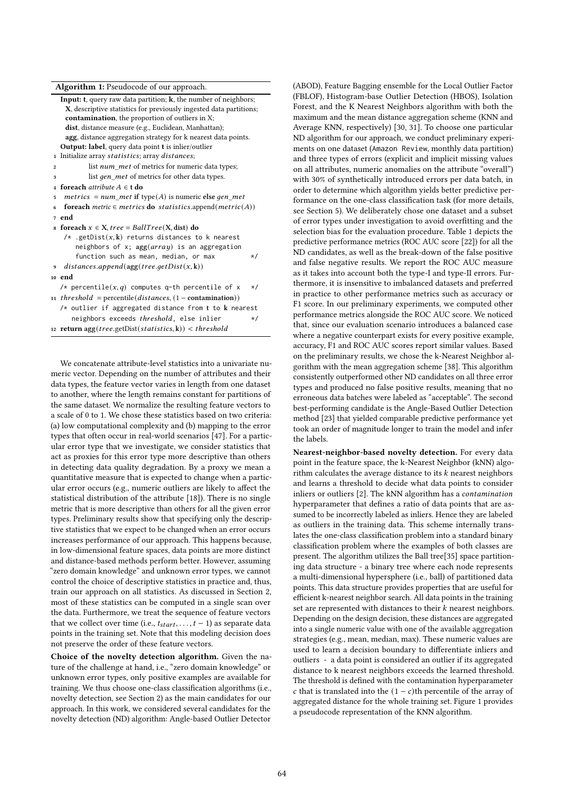| Algorithm 1: Pseudocode of our approach. |  |  |  |  |  |  |  |
|------------------------------------------|--|--|--|--|--|--|--|
|------------------------------------------|--|--|--|--|--|--|--|

|                         | <b>Input: t</b> , query raw data partition; $\bf{k}$ , the number of neighbors; |
|-------------------------|---------------------------------------------------------------------------------|
|                         | X, descriptive statistics for previously ingested data partitions;              |
|                         | <b>contamination</b> , the proportion of outliers in X;                         |
|                         | dist, distance measure (e.g., Euclidean, Manhattan);                            |
|                         | agg, distance aggregation strategy for k nearest data points.                   |
|                         | <b>Output: label</b> , query data point <b>t</b> is inlier/outlier              |
| $\mathbf{1}$            | Initialize array statistics; array distances;                                   |
| $\mathbf 2$             | list <i>num met</i> of metrics for numeric data types;                          |
| 3                       | list <i>gen met</i> of metrics for other data types.                            |
| $\overline{\mathbf{4}}$ | foreach <i>attribute</i> $A \in t$ do                                           |
| 5                       | metrics = $num\_met$ if type(A) is numeric else gen_met                         |
| 6                       | foreach metric $\in$ metrics do statistics append (metric(A))                   |
|                         | 7 end                                                                           |
|                         | s foreach $x \in X$ , tree = BallTree(X, dist) do                               |
|                         | /* .getDist $(x, k)$ returns distances to k nearest                             |
|                         | neighbors of x; $agg(array)$ is an aggregation                                  |
|                         | function such as mean, median, or max<br>*/                                     |
| 9                       | $distances.append(agg(tree.getDist(x, k))$                                      |
|                         | 10 end                                                                          |
|                         | /* percentile(x,q) computes q-th percentile of x<br>$\star/$                    |
|                         | 11 <i>threshold</i> = percentile( $distances$ , (1 - contamination))            |
|                         | $/*$ outlier if aggregated distance from t to $k$ nearest                       |
|                         | neighbors exceeds <i>threshold</i> , else inlier<br>$\star/$                    |
|                         | 12 return $\arg(tree.getDist(statistics, k)) < threshold$                       |
|                         |                                                                                 |

We concatenate attribute-level statistics into a univariate numeric vector. Depending on the number of attributes and their data types, the feature vector varies in length from one dataset to another, where the length remains constant for partitions of the same dataset. We normalize the resulting feature vectors to a scale of 0 to 1. We chose these statistics based on two criteria: (a) low computational complexity and (b) mapping to the error types that often occur in real-world scenarios [47]. For a particular error type that we investigate, we consider statistics that act as proxies for this error type more descriptive than others in detecting data quality degradation. By a proxy we mean a quantitative measure that is expected to change when a particular error occurs (e.g., numeric outliers are likely to affect the statistical distribution of the attribute [18]). There is no single metric that is more descriptive than others for all the given error types. Preliminary results show that specifying only the descriptive statistics that we expect to be changed when an error occurs increases performance of our approach. This happens because, in low-dimensional feature spaces, data points are more distinct and distance-based methods perform better. However, assuming "zero domain knowledge" and unknown error types, we cannot control the choice of descriptive statistics in practice and, thus, train our approach on all statistics. As discussed in Section 2, most of these statistics can be computed in a single scan over the data. Furthermore, we treat the sequence of feature vectors that we collect over time (i.e.,  $t_{start}, \ldots, t-1$ ) as separate data points in the training set. Note that this modeling decision does not preserve the order of these feature vectors.

Choice of the novelty detection algorithm. Given the nature of the challenge at hand, i.e., "zero domain knowledge" or unknown error types, only positive examples are available for training. We thus choose one-class classification algorithms (i.e., novelty detection, see Section 2) as the main candidates for our approach. In this work, we considered several candidates for the novelty detection (ND) algorithm: Angle-based Outlier Detector

(ABOD), Feature Bagging ensemble for the Local Outlier Factor (FBLOF), Histogram-base Outlier Detection (HBOS), Isolation Forest, and the K Nearest Neighbors algorithm with both the maximum and the mean distance aggregation scheme (KNN and Average KNN, respectively) [30, 31]. To choose one particular ND algorithm for our approach, we conduct preliminary experiments on one dataset (Amazon Review, monthly data partition) and three types of errors (explicit and implicit missing values on all attributes, numeric anomalies on the attribute "overall") with 30% of synthetically introduced errors per data batch, in order to determine which algorithm yields better predictive performance on the one-class classification task (for more details, see Section 5). We deliberately chose one dataset and a subset of error types under investigation to avoid overfitting and the selection bias for the evaluation procedure. Table 1 depicts the predictive performance metrics (ROC AUC score [22]) for all the ND candidates, as well as the break-down of the false positive and false negative results. We report the ROC AUC measure as it takes into account both the type-I and type-II errors. Furthermore, it is insensitive to imbalanced datasets and preferred in practice to other performance metrics such as accuracy or F1 score. In our preliminary experiments, we computed other performance metrics alongside the ROC AUC score. We noticed that, since our evaluation scenario introduces a balanced case where a negative counterpart exists for every positive example, accuracy, F1 and ROC AUC scores report similar values. Based on the preliminary results, we chose the k-Nearest Neighbor algorithm with the mean aggregation scheme [38]. This algorithm consistently outperformed other ND candidates on all three error types and produced no false positive results, meaning that no erroneous data batches were labeled as "acceptable". The second best-performing candidate is the Angle-Based Outlier Detection method [23] that yielded comparable predictive performance yet took an order of magnitude longer to train the model and infer the labels.

Nearest-neighbor-based novelty detection. For every data point in the feature space, the k-Nearest Neighbor (kNN) algorithm calculates the average distance to its  $k$  nearest neighbors and learns a threshold to decide what data points to consider inliers or outliers [2]. The kNN algorithm has a contamination hyperparameter that defines a ratio of data points that are assumed to be incorrectly labeled as inliers. Hence they are labeled as outliers in the training data. This scheme internally translates the one-class classification problem into a standard binary classification problem where the examples of both classes are present. The algorithm utilizes the Ball tree[35] space partitioning data structure - a binary tree where each node represents a multi-dimensional hypersphere (i.e., ball) of partitioned data points. This data structure provides properties that are useful for efficient k-nearest neighbor search. All data points in the training set are represented with distances to their  $k$  nearest neighbors. Depending on the design decision, these distances are aggregated into a single numeric value with one of the available aggregation strategies (e.g., mean, median, max). These numeric values are used to learn a decision boundary to differentiate inliers and outliers - a data point is considered an outlier if its aggregated distance to k nearest neighbors exceeds the learned threshold. The threshold is defined with the contamination hyperparameter c that is translated into the  $(1 - c)$ th percentile of the array of aggregated distance for the whole training set. Figure 1 provides a pseudocode representation of the KNN algorithm.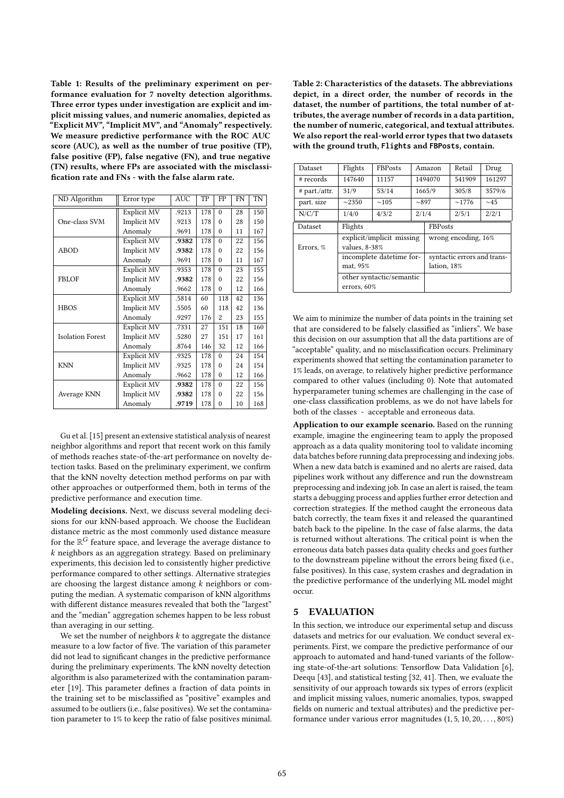Table 1: Results of the preliminary experiment on performance evaluation for 7 novelty detection algorithms. Three error types under investigation are explicit and implicit missing values, and numeric anomalies, depicted as "Explicit MV", "Implicit MV", and "Anomaly" respectively. We measure predictive performance with the ROC AUC score (AUC), as well as the number of true positive (TP), false positive (FP), false negative (FN), and true negative (TN) results, where FPs are associated with the misclassification rate and FNs - with the false alarm rate.

| ND Algorithm            | Error type  | <b>AUC</b> | TP  | FP       | FN | TN  |
|-------------------------|-------------|------------|-----|----------|----|-----|
|                         | Explicit MV | .9213      | 178 | $\theta$ | 28 | 150 |
| One-class SVM           | Implicit MV | .9213      | 178 | $\Omega$ | 28 | 150 |
|                         | Anomaly     | .9691      | 178 | $\theta$ | 11 | 167 |
|                         | Explicit MV | .9382      | 178 | $\Omega$ | 22 | 156 |
| <b>ABOD</b>             | Implicit MV | .9382      | 178 | $\theta$ | 22 | 156 |
|                         | Anomaly     | .9691      | 178 | $\theta$ | 11 | 167 |
|                         | Explicit MV | .9353      | 178 | $\Omega$ | 23 | 155 |
| <b>FBLOF</b>            | Implicit MV | .9382      | 178 | $\theta$ | 22 | 156 |
|                         | Anomaly     | .9662      | 178 | $\theta$ | 12 | 166 |
| <b>HBOS</b>             | Explicit MV | .5814      | 60  | 118      | 42 | 136 |
|                         | Implicit MV | .5505      | 60  | 118      | 42 | 136 |
|                         | Anomaly     | .9297      | 176 | 2        | 23 | 155 |
|                         | Explicit MV | .7331      | 27  | 151      | 18 | 160 |
| <b>Isolation Forest</b> | Implicit MV | .5280      | 27  | 151      | 17 | 161 |
|                         | Anomaly     | .8764      | 146 | 32       | 12 | 166 |
|                         | Explicit MV | .9325      | 178 | $\theta$ | 24 | 154 |
| <b>KNN</b>              | Implicit MV | .9325      | 178 | $\theta$ | 24 | 154 |
|                         | Anomaly     | .9662      | 178 | $\theta$ | 12 | 166 |
|                         | Explicit MV | .9382      | 178 | $\theta$ | 22 | 156 |
| Average KNN             | Implicit MV | .9382      | 178 | $\theta$ | 22 | 156 |
|                         | Anomaly     | .9719      | 178 | $\theta$ | 10 | 168 |

Gu et al. [15] present an extensive statistical analysis of nearest neighbor algorithms and report that recent work on this family of methods reaches state-of-the-art performance on novelty detection tasks. Based on the preliminary experiment, we confirm that the kNN novelty detection method performs on par with other approaches or outperformed them, both in terms of the predictive performance and execution time.

Modeling decisions. Next, we discuss several modeling decisions for our kNN-based approach. We choose the Euclidean distance metric as the most commonly used distance measure for the  $\mathbb{R}^G$  feature space, and leverage the average distance to  $k$  neighbors as an aggregation strategy. Based on preliminary experiments, this decision led to consistently higher predictive performance compared to other settings. Alternative strategies are choosing the largest distance among  $k$  neighbors or computing the median. A systematic comparison of kNN algorithms with different distance measures revealed that both the "largest" and the "median" aggregation schemes happen to be less robust than averaging in our setting.

We set the number of neighbors  $k$  to aggregate the distance measure to a low factor of five. The variation of this parameter did not lead to significant changes in the predictive performance during the preliminary experiments. The kNN novelty detection algorithm is also parameterized with the contamination parameter [19]. This parameter defines a fraction of data points in the training set to be misclassified as "positive" examples and assumed to be outliers (i.e., false positives). We set the contamination parameter to 1% to keep the ratio of false positives minimal. Table 2: Characteristics of the datasets. The abbreviations depict, in a direct order, the number of records in the dataset, the number of partitions, the total number of attributes, the average number of records in a data partition, the number of numeric, categorical, and textual attributes. We also report the real-world error types that two datasets with the ground truth, **Flights** and **FBPosts**, contain.

| Dataset         | Flights                                 | <b>FBPosts</b>            |                                            | Amazon  | Retail | Drug      |  |
|-----------------|-----------------------------------------|---------------------------|--------------------------------------------|---------|--------|-----------|--|
| # records       | 147640                                  | 11157                     |                                            | 1494070 | 541909 | 161297    |  |
| $#$ part./attr. | 31/9                                    | 53/14                     |                                            | 1665/9  | 305/8  | 3579/6    |  |
| part. size      | $\sim$ 2350                             | $\sim$ 105                | ~1.897                                     |         | ~1776  | $\sim$ 45 |  |
| N/C/T           | 1/4/0                                   | 4/3/2                     | 2/1/4                                      |         | 2/5/1  | 2/2/1     |  |
| Dataset         | Flights                                 |                           | <b>FBPosts</b>                             |         |        |           |  |
| Errors, %       | values, 8-38%                           | explicit/implicit missing | wrong encoding, 16%                        |         |        |           |  |
|                 | mat, 95%                                | incomplete datetime for-  | syntactic errors and trans-<br>lation, 18% |         |        |           |  |
|                 | other syntactic/semantic<br>errors, 60% |                           |                                            |         |        |           |  |

We aim to minimize the number of data points in the training set that are considered to be falsely classified as "inliers". We base this decision on our assumption that all the data partitions are of "acceptable" quality, and no misclassification occurs. Preliminary experiments showed that setting the contamination parameter to 1% leads, on average, to relatively higher predictive performance compared to other values (including 0). Note that automated hyperparameter tuning schemes are challenging in the case of one-class classification problems, as we do not have labels for both of the classes - acceptable and erroneous data.

Application to our example scenario. Based on the running example, imagine the engineering team to apply the proposed approach as a data quality monitoring tool to validate incoming data batches before running data preprocessing and indexing jobs. When a new data batch is examined and no alerts are raised, data pipelines work without any difference and run the downstream preprocessing and indexing job. In case an alert is raised, the team starts a debugging process and applies further error detection and correction strategies. If the method caught the erroneous data batch correctly, the team fixes it and released the quarantined batch back to the pipeline. In the case of false alarms, the data is returned without alterations. The critical point is when the erroneous data batch passes data quality checks and goes further to the downstream pipeline without the errors being fixed (i.e., false positives). In this case, system crashes and degradation in the predictive performance of the underlying ML model might occur.

## 5 EVALUATION

In this section, we introduce our experimental setup and discuss datasets and metrics for our evaluation. We conduct several experiments. First, we compare the predictive performance of our approach to automated and hand-tuned variants of the following state-of-the-art solutions: Tensorflow Data Validation [6], Deequ [43], and statistical testing [32, 41]. Then, we evaluate the sensitivity of our approach towards six types of errors (explicit and implicit missing values, numeric anomalies, typos, swapped fields on numeric and textual attributes) and the predictive performance under various error magnitudes (1, 5, 10, 20, . . . , 80%)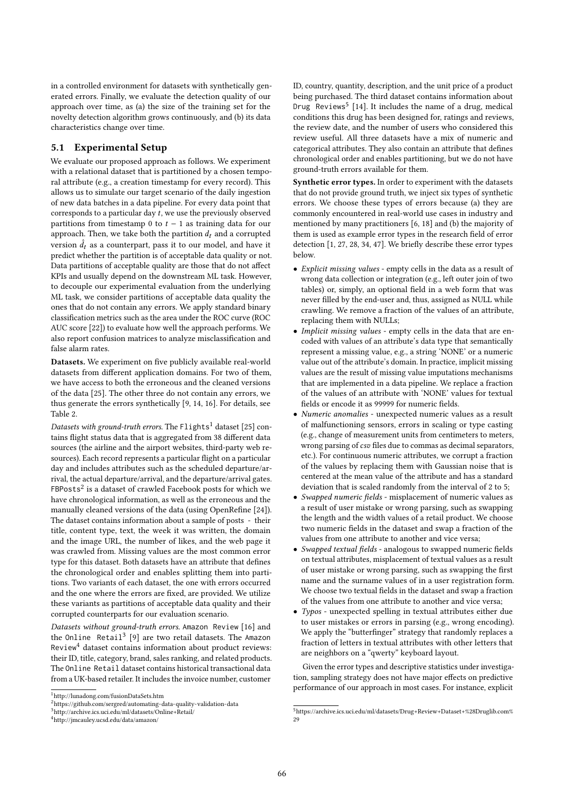in a controlled environment for datasets with synthetically generated errors. Finally, we evaluate the detection quality of our approach over time, as (a) the size of the training set for the novelty detection algorithm grows continuously, and (b) its data characteristics change over time.

#### 5.1 Experimental Setup

We evaluate our proposed approach as follows. We experiment with a relational dataset that is partitioned by a chosen temporal attribute (e.g., a creation timestamp for every record). This allows us to simulate our target scenario of the daily ingestion of new data batches in a data pipeline. For every data point that corresponds to a particular day  $t$ , we use the previously observed partitions from timestamp 0 to  $t - 1$  as training data for our approach. Then, we take both the partition  $d_t$  and a corrupted version  $\hat{d}_t$  as a counterpart, pass it to our model, and have it predict whether the partition is of acceptable data quality or not. Data partitions of acceptable quality are those that do not affect KPIs and usually depend on the downstream ML task. However, to decouple our experimental evaluation from the underlying ML task, we consider partitions of acceptable data quality the ones that do not contain any errors. We apply standard binary classification metrics such as the area under the ROC curve (ROC AUC score [22]) to evaluate how well the approach performs. We also report confusion matrices to analyze misclassification and false alarm rates.

Datasets. We experiment on five publicly available real-world datasets from different application domains. For two of them, we have access to both the erroneous and the cleaned versions of the data [25]. The other three do not contain any errors, we thus generate the errors synthetically [9, 14, 16]. For details, see Table 2.

Datasets with ground-truth errors. The  $Flights<sup>1</sup>$  dataset [25] contains flight status data that is aggregated from 38 different data sources (the airline and the airport websites, third-party web resources). Each record represents a particular flight on a particular day and includes attributes such as the scheduled departure/arrival, the actual departure/arrival, and the departure/arrival gates.  $FBPosts<sup>2</sup>$  is a dataset of crawled Facebook posts for which we have chronological information, as well as the erroneous and the manually cleaned versions of the data (using OpenRefine [24]). The dataset contains information about a sample of posts - their title, content type, text, the week it was written, the domain and the image URL, the number of likes, and the web page it was crawled from. Missing values are the most common error type for this dataset. Both datasets have an attribute that defines the chronological order and enables splitting them into partitions. Two variants of each dataset, the one with errors occurred and the one where the errors are fixed, are provided. We utilize these variants as partitions of acceptable data quality and their corrupted counterparts for our evaluation scenario.

Datasets without ground-truth errors. Amazon Review [16] and the Online  $\,\rm{Retail}^3$  [9] are two retail datasets. The Amazon Review<sup>4</sup> dataset contains information about product reviews: their ID, title, category, brand, sales ranking, and related products. The Online Retail dataset contains historical transactional data from a UK-based retailer. It includes the invoice number, customer

ID, country, quantity, description, and the unit price of a product being purchased. The third dataset contains information about Drug Reviews<sup>5</sup> [14]. It includes the name of a drug, medical conditions this drug has been designed for, ratings and reviews, the review date, and the number of users who considered this review useful. All three datasets have a mix of numeric and categorical attributes. They also contain an attribute that defines chronological order and enables partitioning, but we do not have ground-truth errors available for them.

Synthetic error types. In order to experiment with the datasets that do not provide ground truth, we inject six types of synthetic errors. We choose these types of errors because (a) they are commonly encountered in real-world use cases in industry and mentioned by many practitioners [6, 18] and (b) the majority of them is used as example error types in the research field of error detection [1, 27, 28, 34, 47]. We briefly describe these error types below.

- Explicit missing values empty cells in the data as a result of wrong data collection or integration (e.g., left outer join of two tables) or, simply, an optional field in a web form that was never filled by the end-user and, thus, assigned as NULL while crawling. We remove a fraction of the values of an attribute, replacing them with NULLs;
- Implicit missing values empty cells in the data that are encoded with values of an attribute's data type that semantically represent a missing value, e.g., a string 'NONE' or a numeric value out of the attribute's domain. In practice, implicit missing values are the result of missing value imputations mechanisms that are implemented in a data pipeline. We replace a fraction of the values of an attribute with 'NONE' values for textual fields or encode it as 99999 for numeric fields.
- Numeric anomalies unexpected numeric values as a result of malfunctioning sensors, errors in scaling or type casting (e.g., change of measurement units from centimeters to meters, wrong parsing of csv files due to commas as decimal separators, etc.). For continuous numeric attributes, we corrupt a fraction of the values by replacing them with Gaussian noise that is centered at the mean value of the attribute and has a standard deviation that is scaled randomly from the interval of 2 to 5;
- Swapped numeric fields misplacement of numeric values as a result of user mistake or wrong parsing, such as swapping the length and the width values of a retail product. We choose two numeric fields in the dataset and swap a fraction of the values from one attribute to another and vice versa;
- Swapped textual fields analogous to swapped numeric fields on textual attributes, misplacement of textual values as a result of user mistake or wrong parsing, such as swapping the first name and the surname values of in a user registration form. We choose two textual fields in the dataset and swap a fraction of the values from one attribute to another and vice versa;
- Typos unexpected spelling in textual attributes either due to user mistakes or errors in parsing (e.g., wrong encoding). We apply the "butterfinger" strategy that randomly replaces a fraction of letters in textual attributes with other letters that are neighbors on a "qwerty" keyboard layout.

Given the error types and descriptive statistics under investigation, sampling strategy does not have major effects on predictive performance of our approach in most cases. For instance, explicit

 $^{\rm 1}$ http://lunadong.com/fusionDataSets.htm

 $^{2}$ https://github.com/sergred/automating-data-quality-validation-data

<sup>3</sup>http://archive.ics.uci.edu/ml/datasets/Online+Retail/

<sup>4</sup>http://jmcauley.ucsd.edu/data/amazon/

<sup>5</sup>https://archive.ics.uci.edu/ml/datasets/Drug+Review+Dataset+%28Druglib.com%  $29$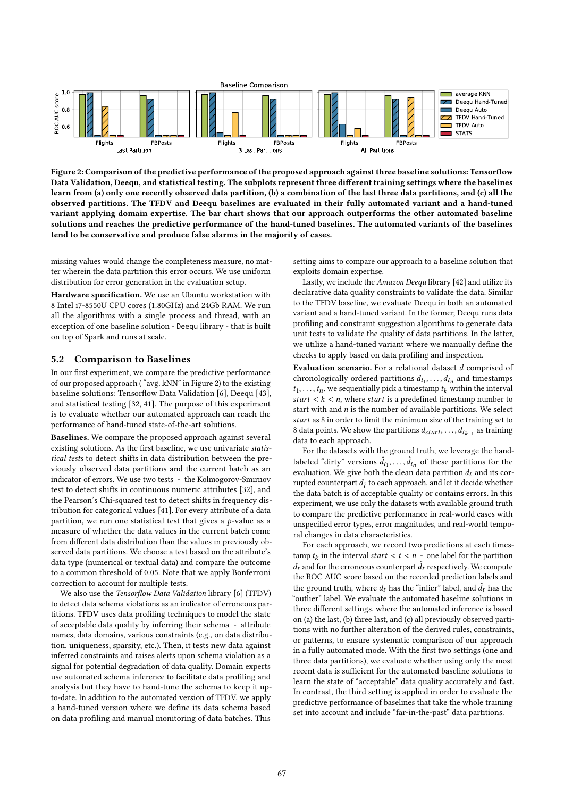

Figure 2: Comparison of the predictive performance of the proposed approach against three baseline solutions: Tensorflow Data Validation, Deequ, and statistical testing. The subplots represent three different training settings where the baselines learn from (a) only one recently observed data partition, (b) a combination of the last three data partitions, and (c) all the observed partitions. The TFDV and Deequ baselines are evaluated in their fully automated variant and a hand-tuned variant applying domain expertise. The bar chart shows that our approach outperforms the other automated baseline solutions and reaches the predictive performance of the hand-tuned baselines. The automated variants of the baselines tend to be conservative and produce false alarms in the majority of cases.

missing values would change the completeness measure, no matter wherein the data partition this error occurs. We use uniform distribution for error generation in the evaluation setup.

Hardware specification. We use an Ubuntu workstation with 8 Intel i7-8550U CPU cores (1.80GHz) and 24Gb RAM. We run all the algorithms with a single process and thread, with an exception of one baseline solution - Deequ library - that is built on top of Spark and runs at scale.

## 5.2 Comparison to Baselines

In our first experiment, we compare the predictive performance of our proposed approach ( "avg. kNN" in Figure 2) to the existing baseline solutions: Tensorflow Data Validation [6], Deequ [43], and statistical testing [32, 41]. The purpose of this experiment is to evaluate whether our automated approach can reach the performance of hand-tuned state-of-the-art solutions.

Baselines. We compare the proposed approach against several existing solutions. As the first baseline, we use univariate statistical tests to detect shifts in data distribution between the previously observed data partitions and the current batch as an indicator of errors. We use two tests - the Kolmogorov-Smirnov test to detect shifts in continuous numeric attributes [32], and the Pearson's Chi-squared test to detect shifts in frequency distribution for categorical values [41]. For every attribute of a data partition, we run one statistical test that gives a  $p$ -value as a measure of whether the data values in the current batch come from different data distribution than the values in previously observed data partitions. We choose a test based on the attribute's data type (numerical or textual data) and compare the outcome to a common threshold of 0.05. Note that we apply Bonferroni correction to account for multiple tests.

We also use the Tensorflow Data Validation library [6] (TFDV) to detect data schema violations as an indicator of erroneous partitions. TFDV uses data profiling techniques to model the state of acceptable data quality by inferring their schema - attribute names, data domains, various constraints (e.g., on data distribution, uniqueness, sparsity, etc.). Then, it tests new data against inferred constraints and raises alerts upon schema violation as a signal for potential degradation of data quality. Domain experts use automated schema inference to facilitate data profiling and analysis but they have to hand-tune the schema to keep it upto-date. In addition to the automated version of TFDV, we apply a hand-tuned version where we define its data schema based on data profiling and manual monitoring of data batches. This

setting aims to compare our approach to a baseline solution that exploits domain expertise.

Lastly, we include the Amazon Deequ library [42] and utilize its declarative data quality constraints to validate the data. Similar to the TFDV baseline, we evaluate Deequ in both an automated variant and a hand-tuned variant. In the former, Deequ runs data profiling and constraint suggestion algorithms to generate data unit tests to validate the quality of data partitions. In the latter, we utilize a hand-tuned variant where we manually define the checks to apply based on data profiling and inspection.

Evaluation scenario. For a relational dataset  $d$  comprised of chronologically ordered partitions  $d_{t_1}, \ldots, d_{t_n}$  and timestamps  $t_1, \ldots, t_n$ , we sequentially pick a timestamp  $t_k$  within the interval start  $\lt k \lt n$ , where start is a predefined timestamp number to start with and  $n$  is the number of available partitions. We select start as 8 in order to limit the minimum size of the training set to 8 data points. We show the partitions  $d_{start}, \ldots, d_{t_{k-1}}$  as training data to each approach.

For the datasets with the ground truth, we leverage the handlabeled "dirty" versions  $\hat{d}_{t_1}, \ldots, \hat{d}_{t_n}$  of these partitions for the evaluation. We give both the clean data partition  $d_t$  and its corrupted counterpart  $d_{\hat{t}}$  to each approach, and let it decide whether the data batch is of acceptable quality or contains errors. In this experiment, we use only the datasets with available ground truth to compare the predictive performance in real-world cases with unspecified error types, error magnitudes, and real-world temporal changes in data characteristics.

For each approach, we record two predictions at each timestamp  $t_k$  in the interval start <  $t < n$  - one label for the partition  $d_t$  and for the erroneous counterpart  $\hat{d}_t$  respectively. We compute the ROC AUC score based on the recorded prediction labels and the ground truth, where  $d_t$  has the "inlier" label, and  $\hat{d}_t$  has the "outlier" label. We evaluate the automated baseline solutions in three different settings, where the automated inference is based on (a) the last, (b) three last, and (c) all previously observed partitions with no further alteration of the derived rules, constraints, or patterns, to ensure systematic comparison of our approach in a fully automated mode. With the first two settings (one and three data partitions), we evaluate whether using only the most recent data is sufficient for the automated baseline solutions to learn the state of "acceptable" data quality accurately and fast. In contrast, the third setting is applied in order to evaluate the predictive performance of baselines that take the whole training set into account and include "far-in-the-past" data partitions.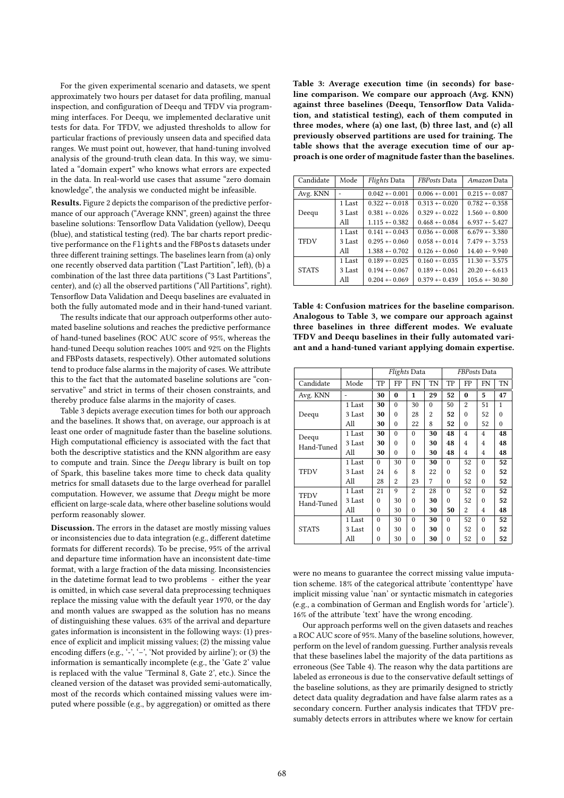For the given experimental scenario and datasets, we spent approximately two hours per dataset for data profiling, manual inspection, and configuration of Deequ and TFDV via programming interfaces. For Deequ, we implemented declarative unit tests for data. For TFDV, we adjusted thresholds to allow for particular fractions of previously unseen data and specified data ranges. We must point out, however, that hand-tuning involved analysis of the ground-truth clean data. In this way, we simulated a "domain expert" who knows what errors are expected in the data. In real-world use cases that assume "zero domain knowledge", the analysis we conducted might be infeasible.

Results. Figure 2 depicts the comparison of the predictive performance of our approach ("Average KNN", green) against the three baseline solutions: Tensorflow Data Validation (yellow), Deequ (blue), and statistical testing (red). The bar charts report predictive performance on the Flights and the FBPosts datasets under three different training settings. The baselines learn from (a) only one recently observed data partition ("Last Partition", left), (b) a combination of the last three data partitions ("3 Last Partitions", center), and (c) all the observed partitions ("All Partitions", right). Tensorflow Data Validation and Deequ baselines are evaluated in both the fully automated mode and in their hand-tuned variant.

The results indicate that our approach outperforms other automated baseline solutions and reaches the predictive performance of hand-tuned baselines (ROC AUC score of 95%, whereas the hand-tuned Deequ solution reaches 100% and 92% on the Flights and FBPosts datasets, respectively). Other automated solutions tend to produce false alarms in the majority of cases. We attribute this to the fact that the automated baseline solutions are "conservative" and strict in terms of their chosen constraints, and thereby produce false alarms in the majority of cases.

Table 3 depicts average execution times for both our approach and the baselines. It shows that, on average, our approach is at least one order of magnitude faster than the baseline solutions. High computational efficiency is associated with the fact that both the descriptive statistics and the KNN algorithm are easy to compute and train. Since the Deequ library is built on top of Spark, this baseline takes more time to check data quality metrics for small datasets due to the large overhead for parallel computation. However, we assume that Deequ might be more efficient on large-scale data, where other baseline solutions would perform reasonably slower.

Discussion. The errors in the dataset are mostly missing values or inconsistencies due to data integration (e.g., different datetime formats for different records). To be precise, 95% of the arrival and departure time information have an inconsistent date-time format, with a large fraction of the data missing. Inconsistencies in the datetime format lead to two problems - either the year is omitted, in which case several data preprocessing techniques replace the missing value with the default year 1970, or the day and month values are swapped as the solution has no means of distinguishing these values. 63% of the arrival and departure gates information is inconsistent in the following ways: (1) presence of explicit and implicit missing values; (2) the missing value encoding differs (e.g., '-', '-', 'Not provided by airline'); or (3) the information is semantically incomplete (e.g., the 'Gate 2' value is replaced with the value 'Terminal 8, Gate 2', etc.). Since the cleaned version of the dataset was provided semi-automatically, most of the records which contained missing values were imputed where possible (e.g., by aggregation) or omitted as there

Table 3: Average execution time (in seconds) for baseline comparison. We compare our approach (Avg. KNN) against three baselines (Deequ, Tensorflow Data Validation, and statistical testing), each of them computed in three modes, where (a) one last, (b) three last, and (c) all previously observed partitions are used for training. The table shows that the average execution time of our approach is one order of magnitude faster than the baselines.

| Candidate    | Mode   | <b>Flights Data</b> | <b>FBPosts</b> Data | Amazon Data      |  |
|--------------|--------|---------------------|---------------------|------------------|--|
| Avg. KNN     |        | $0.042 + 0.001$     | $0.006 + 0.001$     | $0.215 + 0.087$  |  |
|              | 1 Last | $0.322 + 0.018$     | $0.313 + 0.020$     | $0.782 + 0.358$  |  |
| Deequ        | 3 Last | $0.381 + 0.026$     | $0.329 + 0.022$     | $1.560 + 0.800$  |  |
|              | All    | $1.115 + 0.382$     | $0.468 + 0.084$     | $6.937 + 5.427$  |  |
|              | 1 Last | $0.141 + 0.043$     | $0.036 + 0.008$     | $6.679 + -3.380$ |  |
| <b>TFDV</b>  | 3 Last | $0.295 + 0.060$     | $0.058 + 0.014$     | $7.479 + -3.753$ |  |
|              | All    | $1.388 + 0.702$     | $0.126 + 0.060$     | $14.40 + -9.940$ |  |
|              | 1 Last | $0.189 + 0.025$     | $0.160 + 0.035$     | $11.30 + 3.575$  |  |
| <b>STATS</b> | 3 Last | $0.194 + 0.067$     | $0.189 + 0.061$     | $20.20 + 6.613$  |  |
|              | All    | $0.204 + 0.069$     | $0.379 + 0.439$     | $105.6 + 30.80$  |  |

Table 4: Confusion matrices for the baseline comparison. Analogous to Table 3, we compare our approach against three baselines in three different modes. We evaluate TFDV and Deequ baselines in their fully automated variant and a hand-tuned variant applying domain expertise.

|                           |        | Flights Data |          |                |           | <b>FBPosts</b> Data |                         |                |    |
|---------------------------|--------|--------------|----------|----------------|-----------|---------------------|-------------------------|----------------|----|
| Candidate                 | Mode   | TP           | FP       | FN             | <b>TN</b> | TP                  | FP                      | FN             | TN |
| Avg. KNN                  |        | 30           | 0        | 1              | 29        | 52                  | $\bf{0}$                | 5              | 47 |
|                           | 1 Last | 30           | $\Omega$ | 30             | $\Omega$  | 50                  | $\overline{\mathbf{c}}$ | 51             | 1  |
| Deequ                     | 3 Last | 30           | $\theta$ | 28             | 2         | 52                  | $\Omega$                | 52             | 0  |
|                           | All    | 30           | $\theta$ | 22             | 8         | 52                  | $\theta$                | 52             | 0  |
| Deequ                     | 1 Last | 30           | $\theta$ | $\Omega$       | 30        | 48                  | 4                       | 4              | 48 |
| Hand-Tuned                | 3 Last | 30           | $\Omega$ | $\Omega$       | 30        | 48                  | 4                       | 4              | 48 |
|                           | All    | 30           | $\theta$ | $\theta$       | 30        | 48                  | 4                       | $\overline{4}$ | 48 |
| <b>TFDV</b>               | 1 Last | $\theta$     | 30       | $\theta$       | 30        | $\Omega$            | 52                      | $\Omega$       | 52 |
|                           | 3 Last | 24           | 6        | 8              | 22        | $\Omega$            | 52                      | $\Omega$       | 52 |
|                           | All    | 28           | 2        | 23             | 7         | $\theta$            | 52                      | $\theta$       | 52 |
| <b>TFDV</b><br>Hand-Tuned | 1 Last | 21           | 9        | $\mathfrak{D}$ | 28        | $\Omega$            | 52                      | $\Omega$       | 52 |
|                           | 3 Last | 0            | 30       | $\Omega$       | 30        | $\Omega$            | 52                      | $\Omega$       | 52 |
|                           | All    | $\Omega$     | 30       | $\theta$       | 30        | 50                  | 2                       | 4              | 48 |
| <b>STATS</b>              | 1 Last | $\Omega$     | 30       | $\Omega$       | 30        | $\Omega$            | 52                      | $\Omega$       | 52 |
|                           | 3 Last | $\Omega$     | 30       | $\Omega$       | 30        | $\Omega$            | 52                      | $\Omega$       | 52 |
|                           | All    | $\Omega$     | 30       | $\Omega$       | 30        | $\Omega$            | 52                      | $\Omega$       | 52 |

were no means to guarantee the correct missing value imputation scheme. 18% of the categorical attribute 'contenttype' have implicit missing value 'nan' or syntactic mismatch in categories (e.g., a combination of German and English words for 'article'). 16% of the attribute 'text' have the wrong encoding.

Our approach performs well on the given datasets and reaches a ROC AUC score of 95%. Many of the baseline solutions, however, perform on the level of random guessing. Further analysis reveals that these baselines label the majority of the data partitions as erroneous (See Table 4). The reason why the data partitions are labeled as erroneous is due to the conservative default settings of the baseline solutions, as they are primarily designed to strictly detect data quality degradation and have false alarm rates as a secondary concern. Further analysis indicates that TFDV presumably detects errors in attributes where we know for certain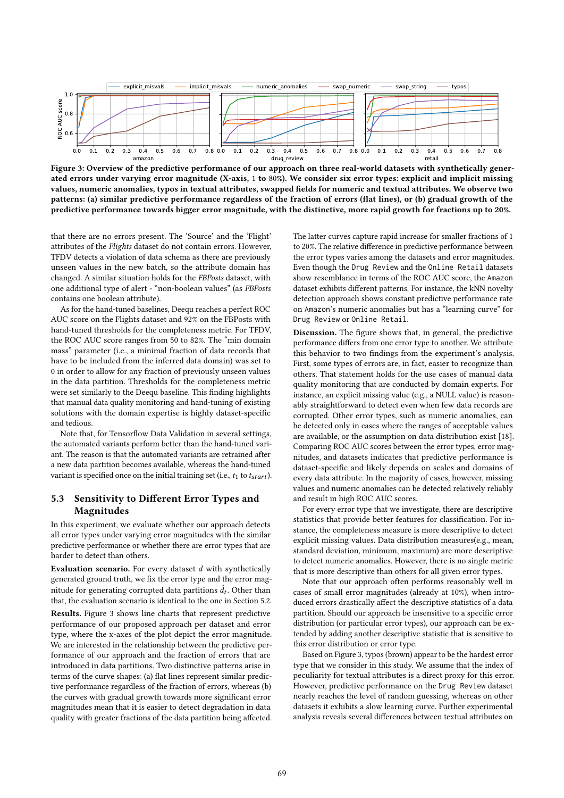

Figure 3: Overview of the predictive performance of our approach on three real-world datasets with synthetically generated errors under varying error magnitude (X-axis, 1 to 80%). We consider six error types: explicit and implicit missing values, numeric anomalies, typos in textual attributes, swapped fields for numeric and textual attributes. We observe two patterns: (a) similar predictive performance regardless of the fraction of errors (flat lines), or (b) gradual growth of the predictive performance towards bigger error magnitude, with the distinctive, more rapid growth for fractions up to 20%.

that there are no errors present. The 'Source' and the 'Flight' attributes of the Flights dataset do not contain errors. However, TFDV detects a violation of data schema as there are previously unseen values in the new batch, so the attribute domain has changed. A similar situation holds for the FBPosts dataset, with one additional type of alert - "non-boolean values" (as FBPosts contains one boolean attribute).

As for the hand-tuned baselines, Deequ reaches a perfect ROC AUC score on the Flights dataset and 92% on the FBPosts with hand-tuned thresholds for the completeness metric. For TFDV, the ROC AUC score ranges from 50 to 82%. The "min domain mass" parameter (i.e., a minimal fraction of data records that have to be included from the inferred data domain) was set to 0 in order to allow for any fraction of previously unseen values in the data partition. Thresholds for the completeness metric were set similarly to the Deequ baseline. This finding highlights that manual data quality monitoring and hand-tuning of existing solutions with the domain expertise is highly dataset-specific and tedious.

Note that, for Tensorflow Data Validation in several settings, the automated variants perform better than the hand-tuned variant. The reason is that the automated variants are retrained after a new data partition becomes available, whereas the hand-tuned variant is specified once on the initial training set (i.e.,  $t_1$  to  $t_{start}$ ).

## 5.3 Sensitivity to Different Error Types and Magnitudes

In this experiment, we evaluate whether our approach detects all error types under varying error magnitudes with the similar predictive performance or whether there are error types that are harder to detect than others.

Evaluation scenario. For every dataset  $d$  with synthetically generated ground truth, we fix the error type and the error magnitude for generating corrupted data partitions  $\hat{d}_t.$  Other than that, the evaluation scenario is identical to the one in Section 5.2.

Results. Figure 3 shows line charts that represent predictive performance of our proposed approach per dataset and error type, where the x-axes of the plot depict the error magnitude. We are interested in the relationship between the predictive performance of our approach and the fraction of errors that are introduced in data partitions. Two distinctive patterns arise in terms of the curve shapes: (a) flat lines represent similar predictive performance regardless of the fraction of errors, whereas (b) the curves with gradual growth towards more significant error magnitudes mean that it is easier to detect degradation in data quality with greater fractions of the data partition being affected.

The latter curves capture rapid increase for smaller fractions of 1 to 20%. The relative difference in predictive performance between the error types varies among the datasets and error magnitudes. Even though the Drug Review and the Online Retail datasets show resemblance in terms of the ROC AUC score, the Amazon dataset exhibits different patterns. For instance, the kNN novelty detection approach shows constant predictive performance rate on Amazon's numeric anomalies but has a "learning curve" for Drug Review or Online Retail.

Discussion. The figure shows that, in general, the predictive performance differs from one error type to another. We attribute this behavior to two findings from the experiment's analysis. First, some types of errors are, in fact, easier to recognize than others. That statement holds for the use cases of manual data quality monitoring that are conducted by domain experts. For instance, an explicit missing value (e.g., a NULL value) is reasonably straightforward to detect even when few data records are corrupted. Other error types, such as numeric anomalies, can be detected only in cases where the ranges of acceptable values are available, or the assumption on data distribution exist [18]. Comparing ROC AUC scores between the error types, error magnitudes, and datasets indicates that predictive performance is dataset-specific and likely depends on scales and domains of every data attribute. In the majority of cases, however, missing values and numeric anomalies can be detected relatively reliably and result in high ROC AUC scores.

For every error type that we investigate, there are descriptive statistics that provide better features for classification. For instance, the completeness measure is more descriptive to detect explicit missing values. Data distribution measures(e.g., mean, standard deviation, minimum, maximum) are more descriptive to detect numeric anomalies. However, there is no single metric that is more descriptive than others for all given error types.

Note that our approach often performs reasonably well in cases of small error magnitudes (already at 10%), when introduced errors drastically affect the descriptive statistics of a data partition. Should our approach be insensitive to a specific error distribution (or particular error types), our approach can be extended by adding another descriptive statistic that is sensitive to this error distribution or error type.

Based on Figure 3, typos (brown) appear to be the hardest error type that we consider in this study. We assume that the index of peculiarity for textual attributes is a direct proxy for this error. However, predictive performance on the Drug Review dataset nearly reaches the level of random guessing, whereas on other datasets it exhibits a slow learning curve. Further experimental analysis reveals several differences between textual attributes on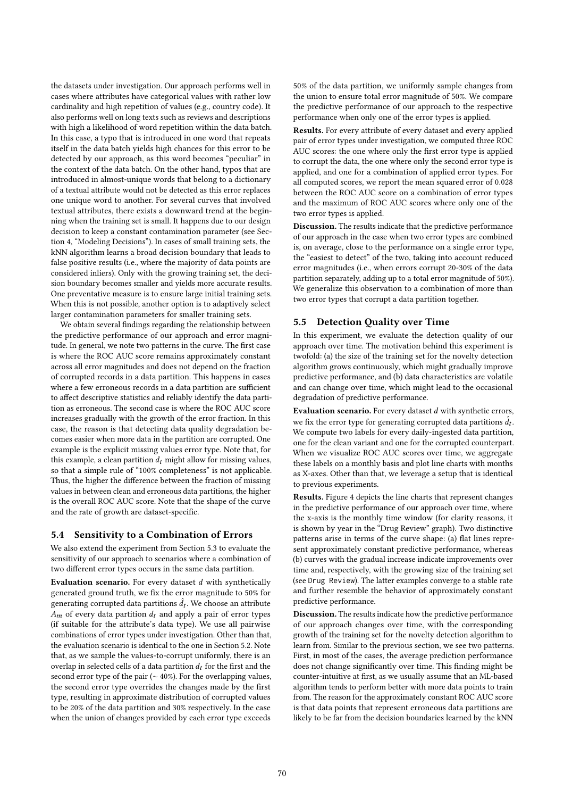the datasets under investigation. Our approach performs well in cases where attributes have categorical values with rather low cardinality and high repetition of values (e.g., country code). It also performs well on long texts such as reviews and descriptions with high a likelihood of word repetition within the data batch. In this case, a typo that is introduced in one word that repeats itself in the data batch yields high chances for this error to be detected by our approach, as this word becomes "peculiar" in the context of the data batch. On the other hand, typos that are introduced in almost-unique words that belong to a dictionary of a textual attribute would not be detected as this error replaces one unique word to another. For several curves that involved textual attributes, there exists a downward trend at the beginning when the training set is small. It happens due to our design decision to keep a constant contamination parameter (see Section 4, "Modeling Decisions"). In cases of small training sets, the kNN algorithm learns a broad decision boundary that leads to false positive results (i.e., where the majority of data points are considered inliers). Only with the growing training set, the decision boundary becomes smaller and yields more accurate results. One preventative measure is to ensure large initial training sets. When this is not possible, another option is to adaptively select larger contamination parameters for smaller training sets.

We obtain several findings regarding the relationship between the predictive performance of our approach and error magnitude. In general, we note two patterns in the curve. The first case is where the ROC AUC score remains approximately constant across all error magnitudes and does not depend on the fraction of corrupted records in a data partition. This happens in cases where a few erroneous records in a data partition are sufficient to affect descriptive statistics and reliably identify the data partition as erroneous. The second case is where the ROC AUC score increases gradually with the growth of the error fraction. In this case, the reason is that detecting data quality degradation becomes easier when more data in the partition are corrupted. One example is the explicit missing values error type. Note that, for this example, a clean partition  $d_t$  might allow for missing values, so that a simple rule of "100% completeness" is not applicable. Thus, the higher the difference between the fraction of missing values in between clean and erroneous data partitions, the higher is the overall ROC AUC score. Note that the shape of the curve and the rate of growth are dataset-specific.

## 5.4 Sensitivity to a Combination of Errors

We also extend the experiment from Section 5.3 to evaluate the sensitivity of our approach to scenarios where a combination of two different error types occurs in the same data partition.

Evaluation scenario. For every dataset  $d$  with synthetically generated ground truth, we fix the error magnitude to 50% for generating corrupted data partitions  $\hat{d}_t.$  We choose an attribute  $A_m$  of every data partition  $d_t$  and apply a pair of error types (if suitable for the attribute's data type). We use all pairwise combinations of error types under investigation. Other than that, the evaluation scenario is identical to the one in Section 5.2. Note that, as we sample the values-to-corrupt uniformly, there is an overlap in selected cells of a data partition  $d_t$  for the first and the second error type of the pair (∼ 40%). For the overlapping values, the second error type overrides the changes made by the first type, resulting in approximate distribution of corrupted values to be 20% of the data partition and 30% respectively. In the case when the union of changes provided by each error type exceeds

50% of the data partition, we uniformly sample changes from the union to ensure total error magnitude of 50%. We compare the predictive performance of our approach to the respective performance when only one of the error types is applied.

Results. For every attribute of every dataset and every applied pair of error types under investigation, we computed three ROC AUC scores: the one where only the first error type is applied to corrupt the data, the one where only the second error type is applied, and one for a combination of applied error types. For all computed scores, we report the mean squared error of 0.028 between the ROC AUC score on a combination of error types and the maximum of ROC AUC scores where only one of the two error types is applied.

Discussion. The results indicate that the predictive performance of our approach in the case when two error types are combined is, on average, close to the performance on a single error type, the "easiest to detect" of the two, taking into account reduced error magnitudes (i.e., when errors corrupt 20-30% of the data partition separately, adding up to a total error magnitude of 50%). We generalize this observation to a combination of more than two error types that corrupt a data partition together.

#### 5.5 Detection Quality over Time

In this experiment, we evaluate the detection quality of our approach over time. The motivation behind this experiment is twofold: (a) the size of the training set for the novelty detection algorithm grows continuously, which might gradually improve predictive performance, and (b) data characteristics are volatile and can change over time, which might lead to the occasional degradation of predictive performance.

Evaluation scenario. For every dataset  $d$  with synthetic errors, we fix the error type for generating corrupted data partitions  $\hat{d}_t$ . We compute two labels for every daily-ingested data partition, one for the clean variant and one for the corrupted counterpart. When we visualize ROC AUC scores over time, we aggregate these labels on a monthly basis and plot line charts with months as X-axes. Other than that, we leverage a setup that is identical to previous experiments.

Results. Figure 4 depicts the line charts that represent changes in the predictive performance of our approach over time, where the x-axis is the monthly time window (for clarity reasons, it is shown by year in the "Drug Review" graph). Two distinctive patterns arise in terms of the curve shape: (a) flat lines represent approximately constant predictive performance, whereas (b) curves with the gradual increase indicate improvements over time and, respectively, with the growing size of the training set (see Drug Review). The latter examples converge to a stable rate and further resemble the behavior of approximately constant predictive performance.

Discussion. The results indicate how the predictive performance of our approach changes over time, with the corresponding growth of the training set for the novelty detection algorithm to learn from. Similar to the previous section, we see two patterns. First, in most of the cases, the average prediction performance does not change significantly over time. This finding might be counter-intuitive at first, as we usually assume that an ML-based algorithm tends to perform better with more data points to train from. The reason for the approximately constant ROC AUC score is that data points that represent erroneous data partitions are likely to be far from the decision boundaries learned by the kNN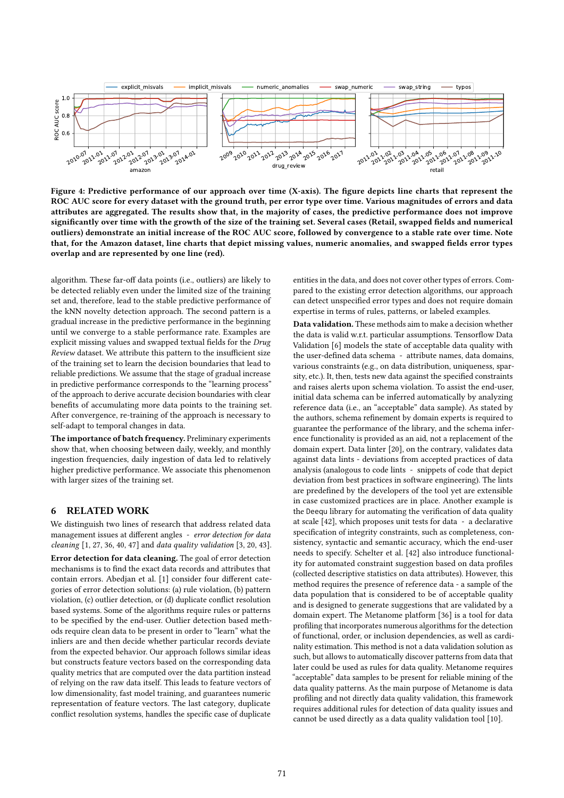

Figure 4: Predictive performance of our approach over time (X-axis). The figure depicts line charts that represent the ROC AUC score for every dataset with the ground truth, per error type over time. Various magnitudes of errors and data attributes are aggregated. The results show that, in the majority of cases, the predictive performance does not improve significantly over time with the growth of the size of the training set. Several cases (Retail, swapped fields and numerical outliers) demonstrate an initial increase of the ROC AUC score, followed by convergence to a stable rate over time. Note that, for the Amazon dataset, line charts that depict missing values, numeric anomalies, and swapped fields error types overlap and are represented by one line (red).

algorithm. These far-off data points (i.e., outliers) are likely to be detected reliably even under the limited size of the training set and, therefore, lead to the stable predictive performance of the kNN novelty detection approach. The second pattern is a gradual increase in the predictive performance in the beginning until we converge to a stable performance rate. Examples are explicit missing values and swapped textual fields for the Drug Review dataset. We attribute this pattern to the insufficient size of the training set to learn the decision boundaries that lead to reliable predictions. We assume that the stage of gradual increase in predictive performance corresponds to the "learning process" of the approach to derive accurate decision boundaries with clear benefits of accumulating more data points to the training set. After convergence, re-training of the approach is necessary to self-adapt to temporal changes in data.

The importance of batch frequency. Preliminary experiments show that, when choosing between daily, weekly, and monthly ingestion frequencies, daily ingestion of data led to relatively higher predictive performance. We associate this phenomenon with larger sizes of the training set.

#### 6 RELATED WORK

We distinguish two lines of research that address related data management issues at different angles - error detection for data cleaning  $[1, 27, 36, 40, 47]$  and data quality validation  $[3, 20, 43]$ . Error detection for data cleaning. The goal of error detection mechanisms is to find the exact data records and attributes that contain errors. Abedjan et al. [1] consider four different categories of error detection solutions: (a) rule violation, (b) pattern violation, (c) outlier detection, or (d) duplicate conflict resolution based systems. Some of the algorithms require rules or patterns to be specified by the end-user. Outlier detection based methods require clean data to be present in order to "learn" what the inliers are and then decide whether particular records deviate from the expected behavior. Our approach follows similar ideas but constructs feature vectors based on the corresponding data quality metrics that are computed over the data partition instead of relying on the raw data itself. This leads to feature vectors of low dimensionality, fast model training, and guarantees numeric representation of feature vectors. The last category, duplicate conflict resolution systems, handles the specific case of duplicate

entities in the data, and does not cover other types of errors. Compared to the existing error detection algorithms, our approach can detect unspecified error types and does not require domain expertise in terms of rules, patterns, or labeled examples.

Data validation. These methods aim to make a decision whether the data is valid w.r.t. particular assumptions. Tensorflow Data Validation [6] models the state of acceptable data quality with the user-defined data schema - attribute names, data domains, various constraints (e.g., on data distribution, uniqueness, sparsity, etc.). It, then, tests new data against the specified constraints and raises alerts upon schema violation. To assist the end-user, initial data schema can be inferred automatically by analyzing reference data (i.e., an "acceptable" data sample). As stated by the authors, schema refinement by domain experts is required to guarantee the performance of the library, and the schema inference functionality is provided as an aid, not a replacement of the domain expert. Data linter [20], on the contrary, validates data against data lints - deviations from accepted practices of data analysis (analogous to code lints - snippets of code that depict deviation from best practices in software engineering). The lints are predefined by the developers of the tool yet are extensible in case customized practices are in place. Another example is the Deequ library for automating the verification of data quality at scale [42], which proposes unit tests for data - a declarative specification of integrity constraints, such as completeness, consistency, syntactic and semantic accuracy, which the end-user needs to specify. Schelter et al. [42] also introduce functionality for automated constraint suggestion based on data profiles (collected descriptive statistics on data attributes). However, this method requires the presence of reference data - a sample of the data population that is considered to be of acceptable quality and is designed to generate suggestions that are validated by a domain expert. The Metanome platform [36] is a tool for data profiling that incorporates numerous algorithms for the detection of functional, order, or inclusion dependencies, as well as cardinality estimation. This method is not a data validation solution as such, but allows to automatically discover patterns from data that later could be used as rules for data quality. Metanome requires "acceptable" data samples to be present for reliable mining of the data quality patterns. As the main purpose of Metanome is data profiling and not directly data quality validation, this framework requires additional rules for detection of data quality issues and cannot be used directly as a data quality validation tool [10].